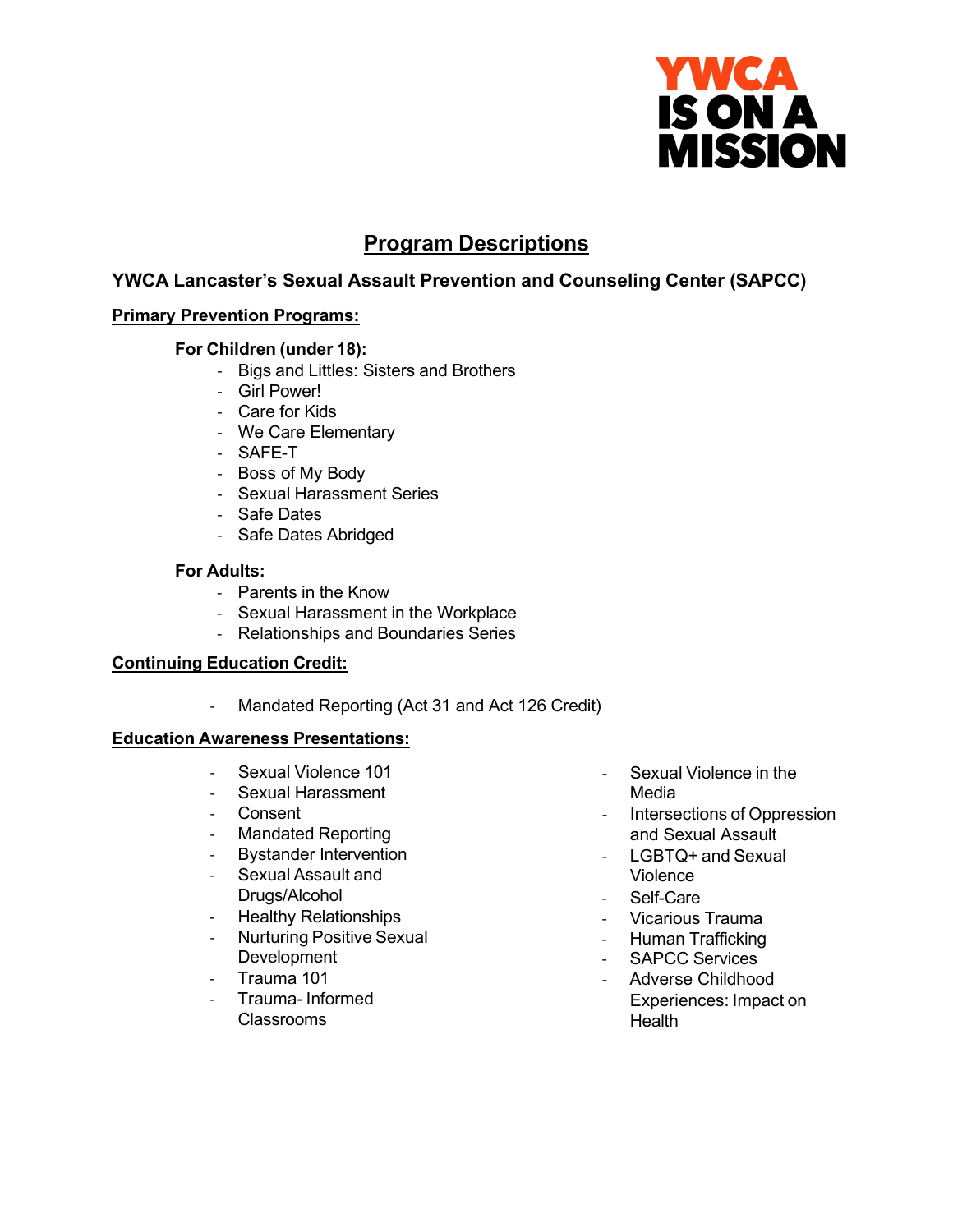

# **Program Descriptions**

## **YWCA Lancaster's Sexual Assault Prevention and Counseling Center (SAPCC)**

## **Primary Prevention Programs:**

## **For Children (under 18):**

- Bigs and Littles: Sisters and Brothers
- Girl Power!
- Care for Kids
- We Care Elementary
- SAFE-T
- Boss of My Body
- Sexual Harassment Series
- Safe Dates
- Safe Dates Abridged

### **For Adults:**

- Parents in the Know
- Sexual Harassment in the Workplace
- Relationships and Boundaries Series

## **Continuing Education Credit:**

- Mandated Reporting (Act 31 and Act 126 Credit)

## **Education Awareness Presentations:**

- Sexual Violence 101
- Sexual Harassment
- Consent
- Mandated Reporting
- Bystander Intervention
- Sexual Assault and Drugs/Alcohol
- **Healthy Relationships**
- Nurturing Positive Sexual **Development**
- Trauma 101
- Trauma- Informed Classrooms
- Sexual Violence in the Media
- Intersections of Oppression and Sexual Assault
- LGBTQ+ and Sexual Violence
- Self-Care
- Vicarious Trauma
- Human Trafficking
- SAPCC Services
- Adverse Childhood Experiences: Impact on **Health**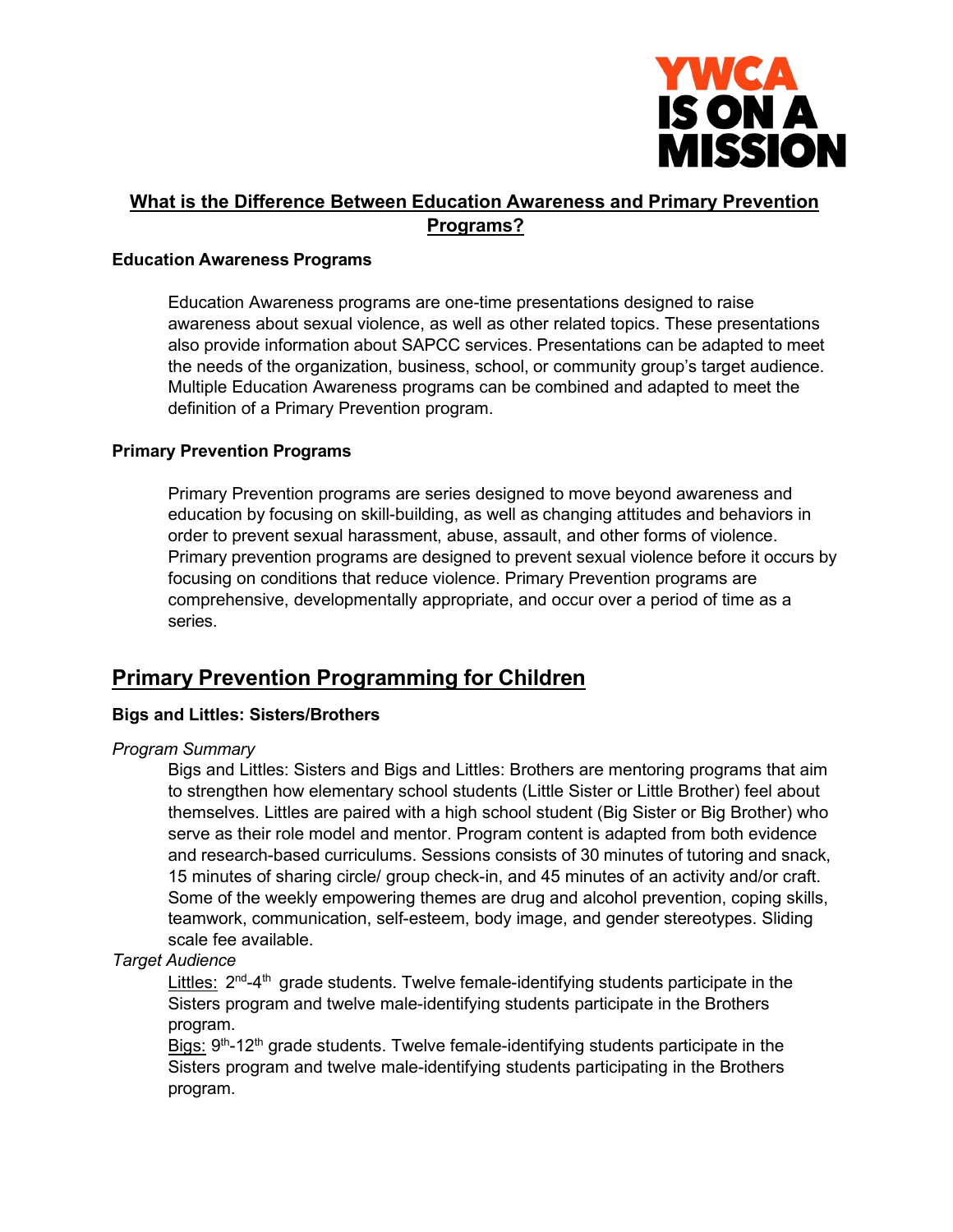

## **What is the Difference Between Education Awareness and Primary Prevention Programs?**

### **Education Awareness Programs**

Education Awareness programs are one-time presentations designed to raise awareness about sexual violence, as well as other related topics. These presentations also provide information about SAPCC services. Presentations can be adapted to meet the needs of the organization, business, school, or community group's target audience. Multiple Education Awareness programs can be combined and adapted to meet the definition of a Primary Prevention program.

### **Primary Prevention Programs**

Primary Prevention programs are series designed to move beyond awareness and education by focusing on skill-building, as well as changing attitudes and behaviors in order to prevent sexual harassment, abuse, assault, and other forms of violence. Primary prevention programs are designed to prevent sexual violence before it occurs by focusing on conditions that reduce violence. Primary Prevention programs are comprehensive, developmentally appropriate, and occur over a period of time as a series.

## **Primary Prevention Programming for Children**

## **Bigs and Littles: Sisters/Brothers**

## *Program Summary*

Bigs and Littles: Sisters and Bigs and Littles: Brothers are mentoring programs that aim to strengthen how elementary school students (Little Sister or Little Brother) feel about themselves. Littles are paired with a high school student (Big Sister or Big Brother) who serve as their role model and mentor. Program content is adapted from both evidence and research-based curriculums. Sessions consists of 30 minutes of tutoring and snack, 15 minutes of sharing circle/ group check-in, and 45 minutes of an activity and/or craft. Some of the weekly empowering themes are drug and alcohol prevention, coping skills, teamwork, communication, self-esteem, body image, and gender stereotypes. Sliding scale fee available.

## *Target Audience*

Littles:  $2<sup>nd</sup>-4<sup>th</sup>$  grade students. Twelve female-identifying students participate in the Sisters program and twelve male-identifying students participate in the Brothers program.

Bigs:  $9<sup>th</sup>$ -12<sup>th</sup> grade students. Twelve female-identifying students participate in the Sisters program and twelve male-identifying students participating in the Brothers program.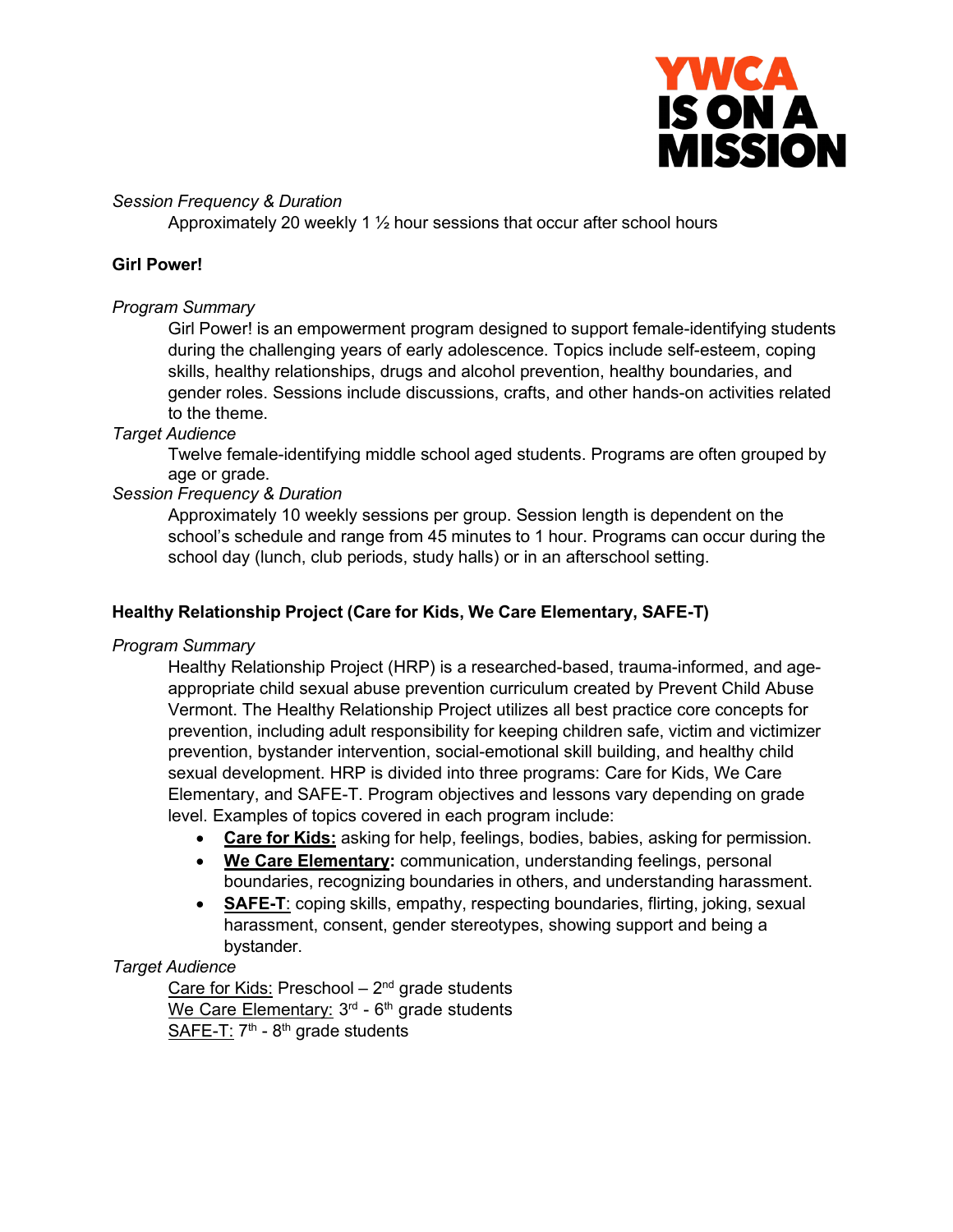

## *Session Frequency & Duration*

Approximately 20 weekly 1 ½ hour sessions that occur after school hours

## **Girl Power!**

### *Program Summary*

Girl Power! is an empowerment program designed to support female-identifying students during the challenging years of early adolescence. Topics include self-esteem, coping skills, healthy relationships, drugs and alcohol prevention, healthy boundaries, and gender roles. Sessions include discussions, crafts, and other hands-on activities related to the theme.

### *Target Audience*

Twelve female-identifying middle school aged students. Programs are often grouped by age or grade.

## *Session Frequency & Duration*

Approximately 10 weekly sessions per group. Session length is dependent on the school's schedule and range from 45 minutes to 1 hour. Programs can occur during the school day (lunch, club periods, study halls) or in an afterschool setting.

### **Healthy Relationship Project (Care for Kids, We Care Elementary, SAFE-T)**

#### *Program Summary*

Healthy Relationship Project (HRP) is a researched-based, trauma-informed, and ageappropriate child sexual abuse prevention curriculum created by Prevent Child Abuse Vermont. The Healthy Relationship Project utilizes all best practice core concepts for prevention, including adult responsibility for keeping children safe, victim and victimizer prevention, bystander intervention, social-emotional skill building, and healthy child sexual development. HRP is divided into three programs: Care for Kids, We Care Elementary, and SAFE-T. Program objectives and lessons vary depending on grade level. Examples of topics covered in each program include:

- **Care for Kids:** asking for help, feelings, bodies, babies, asking for permission.
- **We Care Elementary:** communication, understanding feelings, personal boundaries, recognizing boundaries in others, and understanding harassment.
- **SAFE-T**: coping skills, empathy, respecting boundaries, flirting, joking, sexual harassment, consent, gender stereotypes, showing support and being a bystander.

## *Target Audience*

Care for Kids: Preschool  $-2<sup>nd</sup>$  grade students We Care Elementary:  $3<sup>rd</sup>$  -  $6<sup>th</sup>$  grade students SAFE-T:  $7<sup>th</sup>$  -  $8<sup>th</sup>$  grade students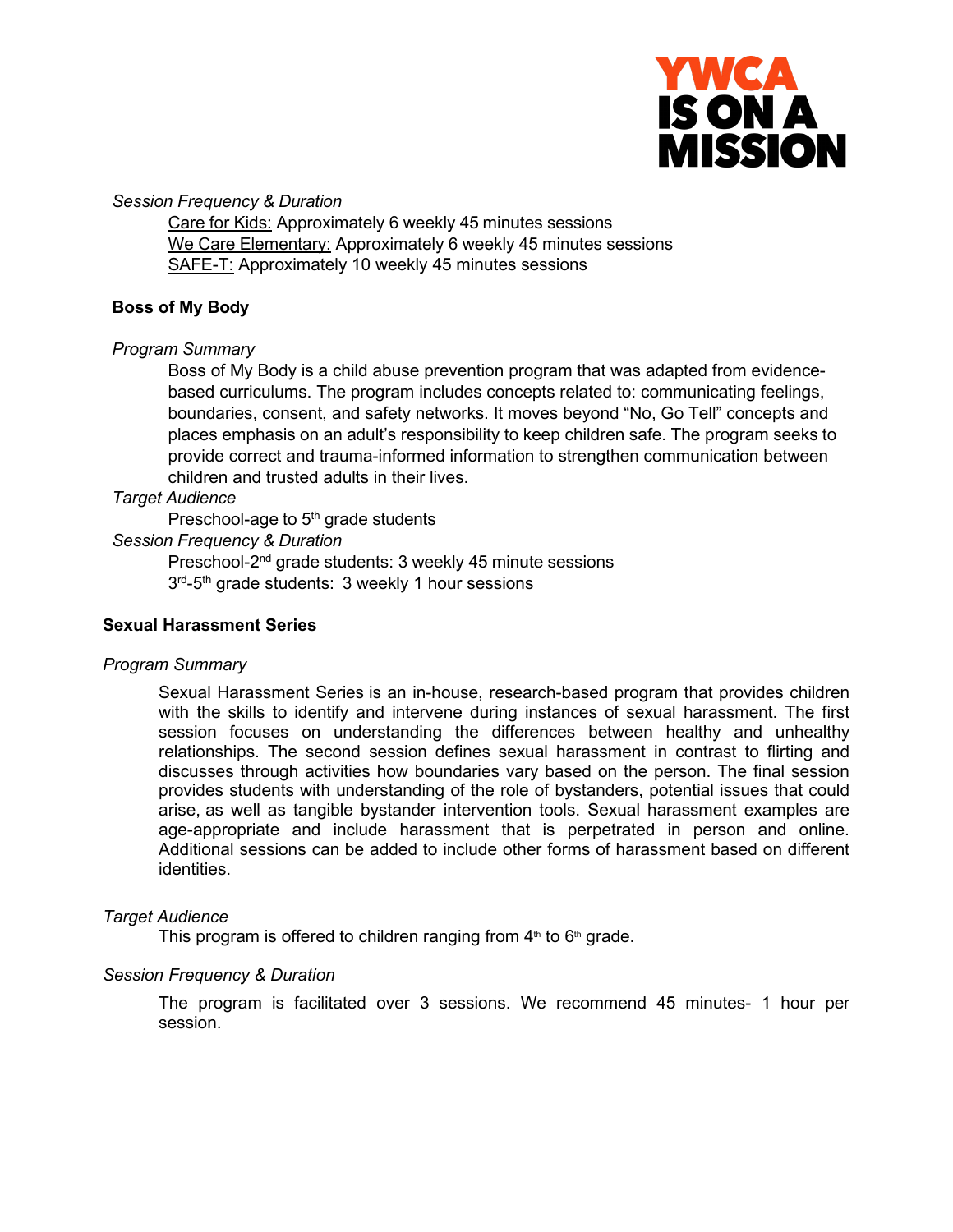

*Session Frequency & Duration*

Care for Kids: Approximately 6 weekly 45 minutes sessions We Care Elementary: Approximately 6 weekly 45 minutes sessions SAFE-T: Approximately 10 weekly 45 minutes sessions

## **Boss of My Body**

## *Program Summary*

Boss of My Body is a child abuse prevention program that was adapted from evidencebased curriculums. The program includes concepts related to: communicating feelings, boundaries, consent, and safety networks. It moves beyond "No, Go Tell" concepts and places emphasis on an adult's responsibility to keep children safe. The program seeks to provide correct and trauma-informed information to strengthen communication between children and trusted adults in their lives.

### *Target Audience*

Preschool-age to  $5<sup>th</sup>$  grade students

### *Session Frequency & Duration*

Preschool-2nd grade students: 3 weekly 45 minute sessions 3<sup>rd</sup>-5<sup>th</sup> grade students: 3 weekly 1 hour sessions

#### **Sexual Harassment Series**

#### *Program Summary*

Sexual Harassment Series is an in-house, research-based program that provides children with the skills to identify and intervene during instances of sexual harassment. The first session focuses on understanding the differences between healthy and unhealthy relationships. The second session defines sexual harassment in contrast to flirting and discusses through activities how boundaries vary based on the person. The final session provides students with understanding of the role of bystanders, potential issues that could arise, as well as tangible bystander intervention tools. Sexual harassment examples are age-appropriate and include harassment that is perpetrated in person and online. Additional sessions can be added to include other forms of harassment based on different identities.

#### *Target Audience*

This program is offered to children ranging from  $4<sup>th</sup>$  to  $6<sup>th</sup>$  grade.

#### *Session Frequency & Duration*

The program is facilitated over 3 sessions. We recommend 45 minutes- 1 hour per session.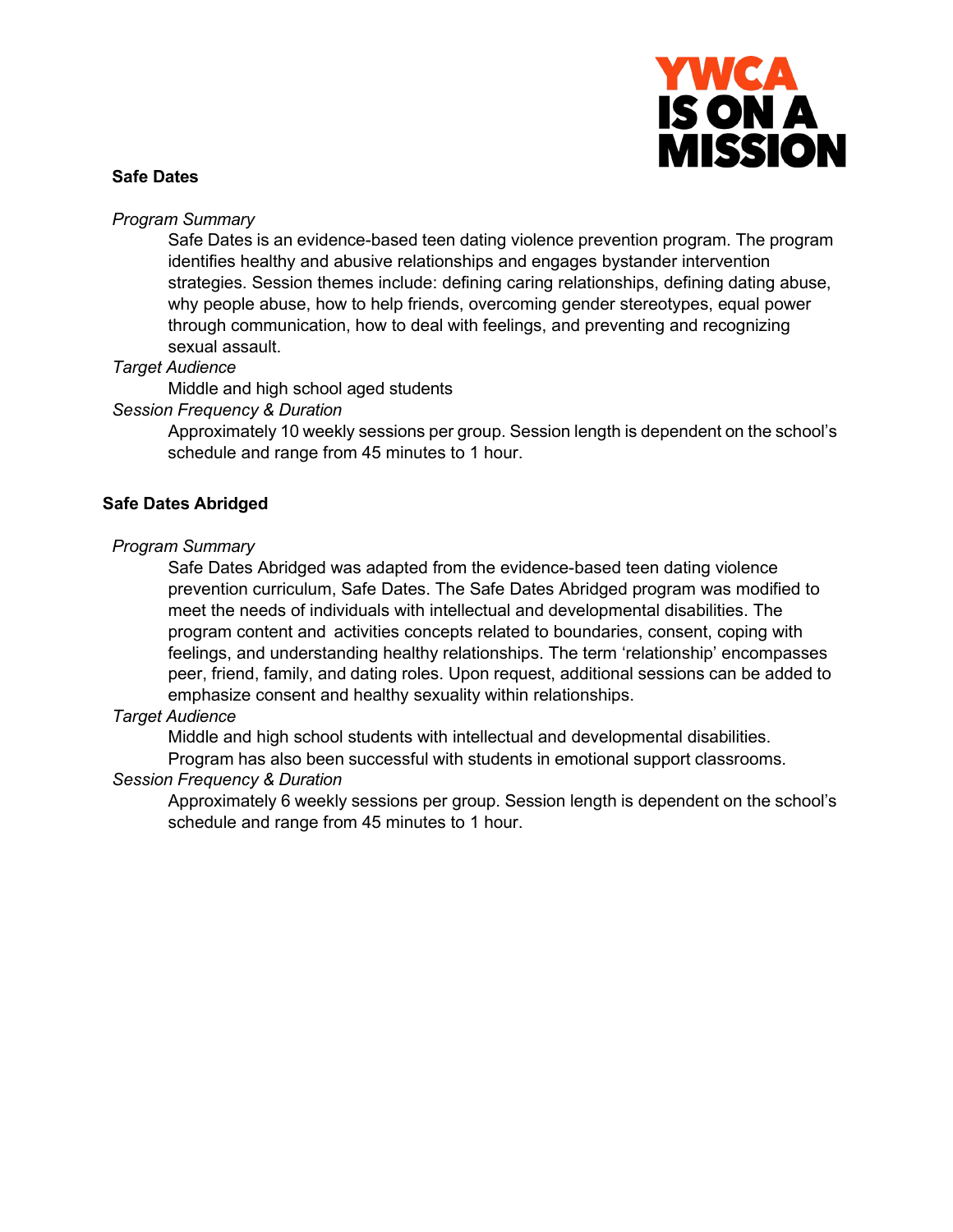

### **Safe Dates**

#### *Program Summary*

Safe Dates is an evidence-based teen dating violence prevention program. The program identifies healthy and abusive relationships and engages bystander intervention strategies. Session themes include: defining caring relationships, defining dating abuse, why people abuse, how to help friends, overcoming gender stereotypes, equal power through communication, how to deal with feelings, and preventing and recognizing sexual assault.

### *Target Audience*

Middle and high school aged students

### *Session Frequency & Duration*

Approximately 10 weekly sessions per group. Session length is dependent on the school's schedule and range from 45 minutes to 1 hour.

## **Safe Dates Abridged**

#### *Program Summary*

Safe Dates Abridged was adapted from the evidence-based teen dating violence prevention curriculum, Safe Dates. The Safe Dates Abridged program was modified to meet the needs of individuals with intellectual and developmental disabilities. The program content and activities concepts related to boundaries, consent, coping with feelings, and understanding healthy relationships. The term 'relationship' encompasses peer, friend, family, and dating roles. Upon request, additional sessions can be added to emphasize consent and healthy sexuality within relationships.

## *Target Audience*

Middle and high school students with intellectual and developmental disabilities.

Program has also been successful with students in emotional support classrooms.

## *Session Frequency & Duration*

Approximately 6 weekly sessions per group. Session length is dependent on the school's schedule and range from 45 minutes to 1 hour.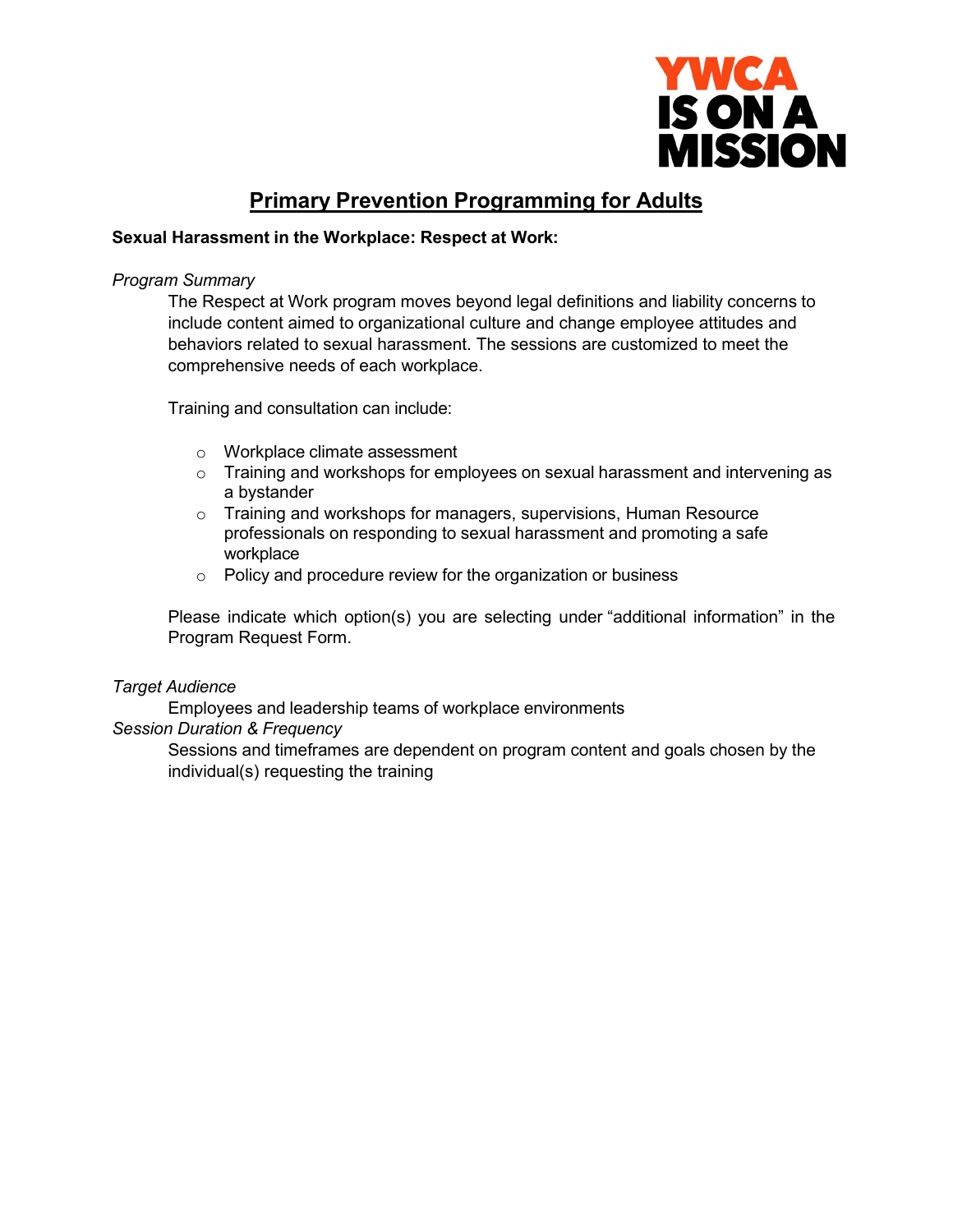

# **Primary Prevention Programming for Adults**

## **Sexual Harassment in the Workplace: Respect at Work:**

#### *Program Summary*

The Respect at Work program moves beyond legal definitions and liability concerns to include content aimed to organizational culture and change employee attitudes and behaviors related to sexual harassment. The sessions are customized to meet the comprehensive needs of each workplace.

Training and consultation can include:

- o Workplace climate assessment
- $\circ$  Training and workshops for employees on sexual harassment and intervening as a bystander
- o Training and workshops for managers, supervisions, Human Resource professionals on responding to sexual harassment and promoting a safe workplace
- $\circ$  Policy and procedure review for the organization or business

Please indicate which option(s) you are selecting under "additional information" in the Program Request Form.

## *Target Audience*

Employees and leadership teams of workplace environments

## *Session Duration & Frequency*

Sessions and timeframes are dependent on program content and goals chosen by the individual(s) requesting the training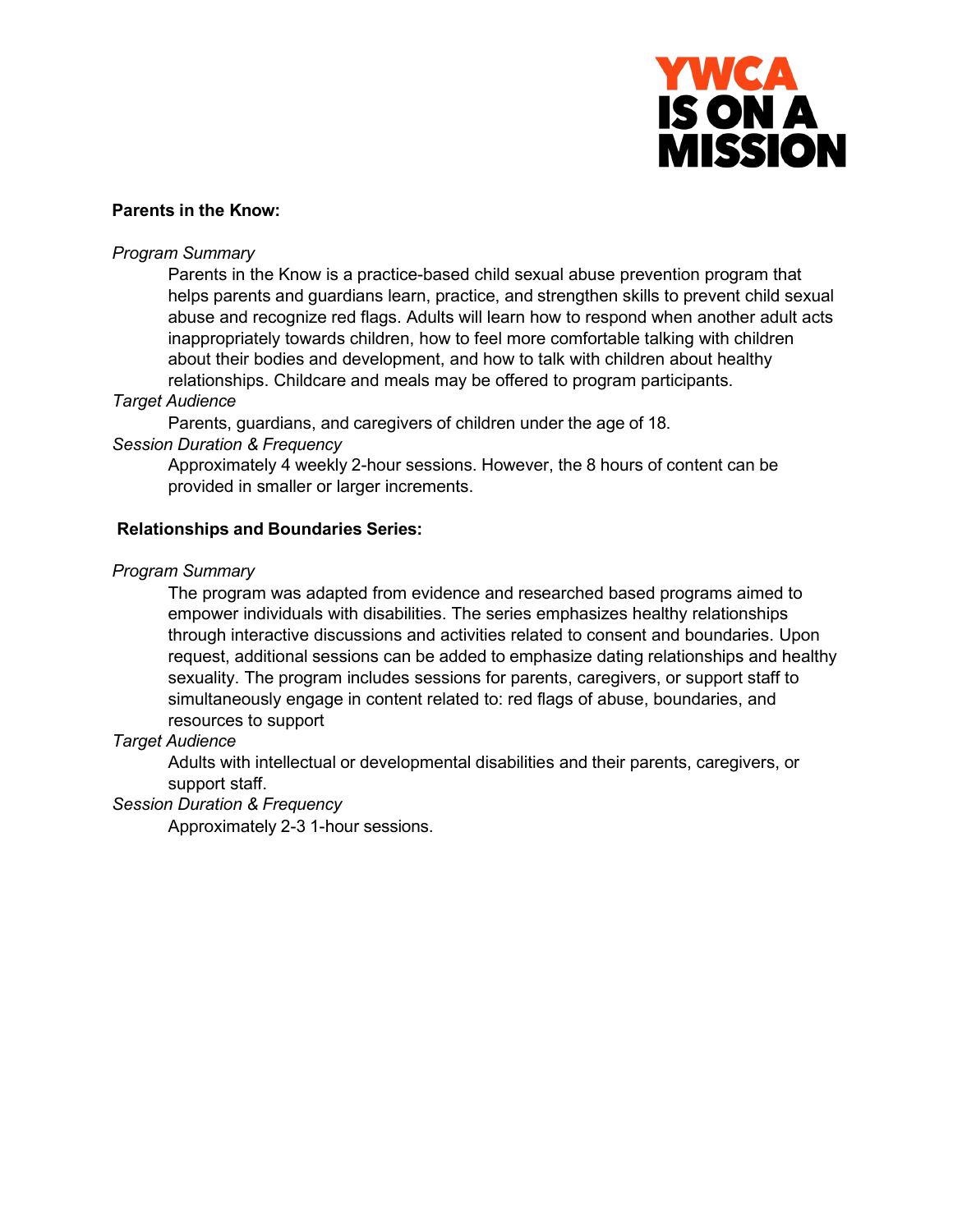

## **Parents in the Know:**

### *Program Summary*

Parents in the Know is a practice-based child sexual abuse prevention program that helps parents and guardians learn, practice, and strengthen skills to prevent child sexual abuse and recognize red flags. Adults will learn how to respond when another adult acts inappropriately towards children, how to feel more comfortable talking with children about their bodies and development, and how to talk with children about healthy relationships. Childcare and meals may be offered to program participants.

### *Target Audience*

Parents, guardians, and caregivers of children under the age of 18.

## *Session Duration & Frequency*

Approximately 4 weekly 2-hour sessions. However, the 8 hours of content can be provided in smaller or larger increments.

## **Relationships and Boundaries Series:**

### *Program Summary*

The program was adapted from evidence and researched based programs aimed to empower individuals with disabilities. The series emphasizes healthy relationships through interactive discussions and activities related to consent and boundaries. Upon request, additional sessions can be added to emphasize dating relationships and healthy sexuality. The program includes sessions for parents, caregivers, or support staff to simultaneously engage in content related to: red flags of abuse, boundaries, and resources to support

## *Target Audience*

Adults with intellectual or developmental disabilities and their parents, caregivers, or support staff.

## *Session Duration & Frequency*

Approximately 2-3 1-hour sessions.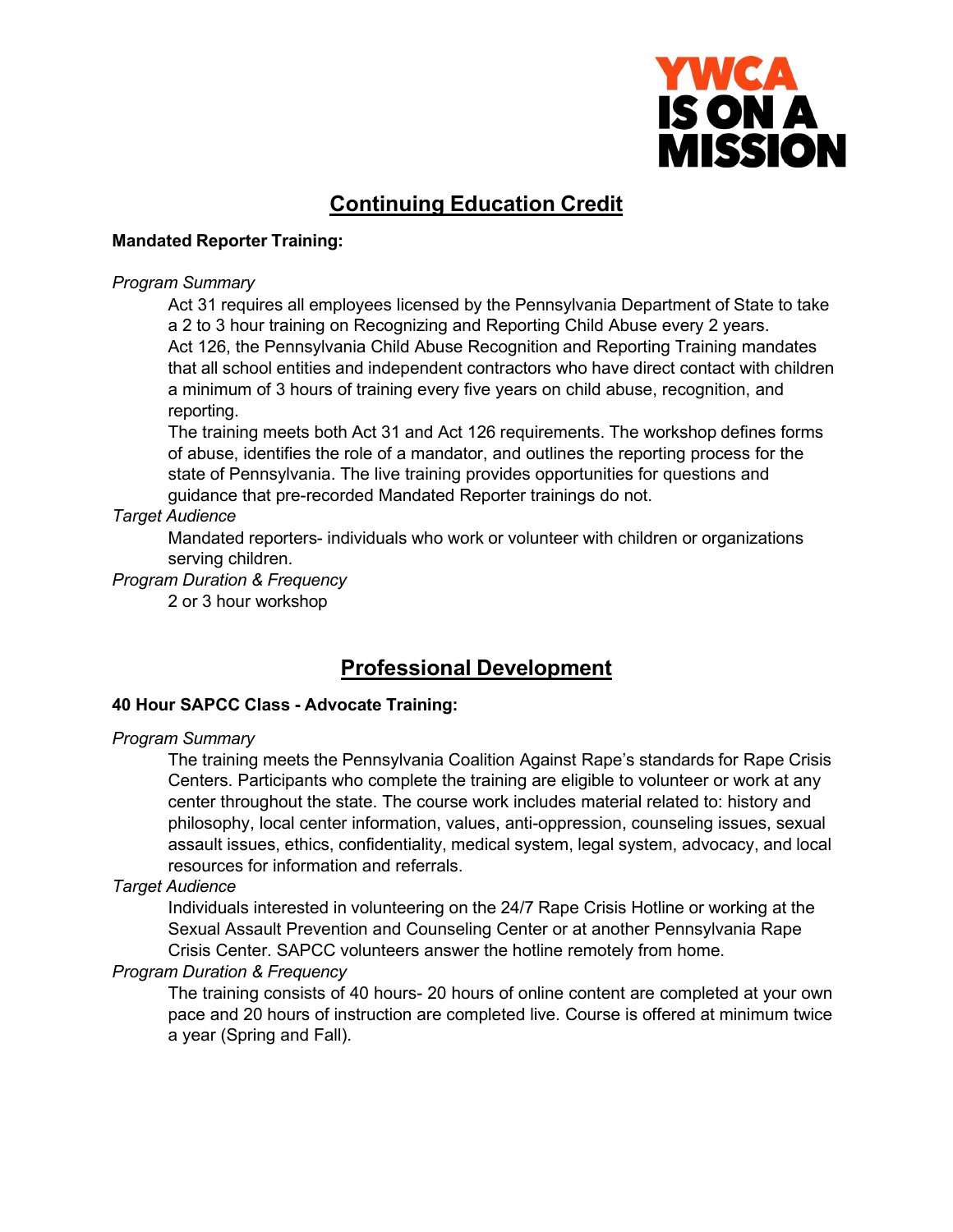

# **Continuing Education Credit**

## **Mandated Reporter Training:**

#### *Program Summary*

Act 31 requires all employees licensed by the Pennsylvania Department of State to take a 2 to 3 hour training on Recognizing and Reporting Child Abuse every 2 years. Act 126, the Pennsylvania Child Abuse Recognition and Reporting Training mandates that all school entities and independent contractors who have direct contact with children a minimum of 3 hours of training every five years on child abuse, recognition, and reporting.

The training meets both Act 31 and Act 126 requirements. The workshop defines forms of abuse, identifies the role of a mandator, and outlines the reporting process for the state of Pennsylvania. The live training provides opportunities for questions and guidance that pre-recorded Mandated Reporter trainings do not.

## *Target Audience*

Mandated reporters- individuals who work or volunteer with children or organizations serving children.

## *Program Duration & Frequency*

2 or 3 hour workshop

# **Professional Development**

## **40 Hour SAPCC Class - Advocate Training:**

#### *Program Summary*

The training meets the Pennsylvania Coalition Against Rape's standards for Rape Crisis Centers. Participants who complete the training are eligible to volunteer or work at any center throughout the state. The course work includes material related to: history and philosophy, local center information, values, anti-oppression, counseling issues, sexual assault issues, ethics, confidentiality, medical system, legal system, advocacy, and local resources for information and referrals.

## *Target Audience*

Individuals interested in volunteering on the 24/7 Rape Crisis Hotline or working at the Sexual Assault Prevention and Counseling Center or at another Pennsylvania Rape Crisis Center. SAPCC volunteers answer the hotline remotely from home.

#### *Program Duration & Frequency*

The training consists of 40 hours- 20 hours of online content are completed at your own pace and 20 hours of instruction are completed live. Course is offered at minimum twice a year (Spring and Fall).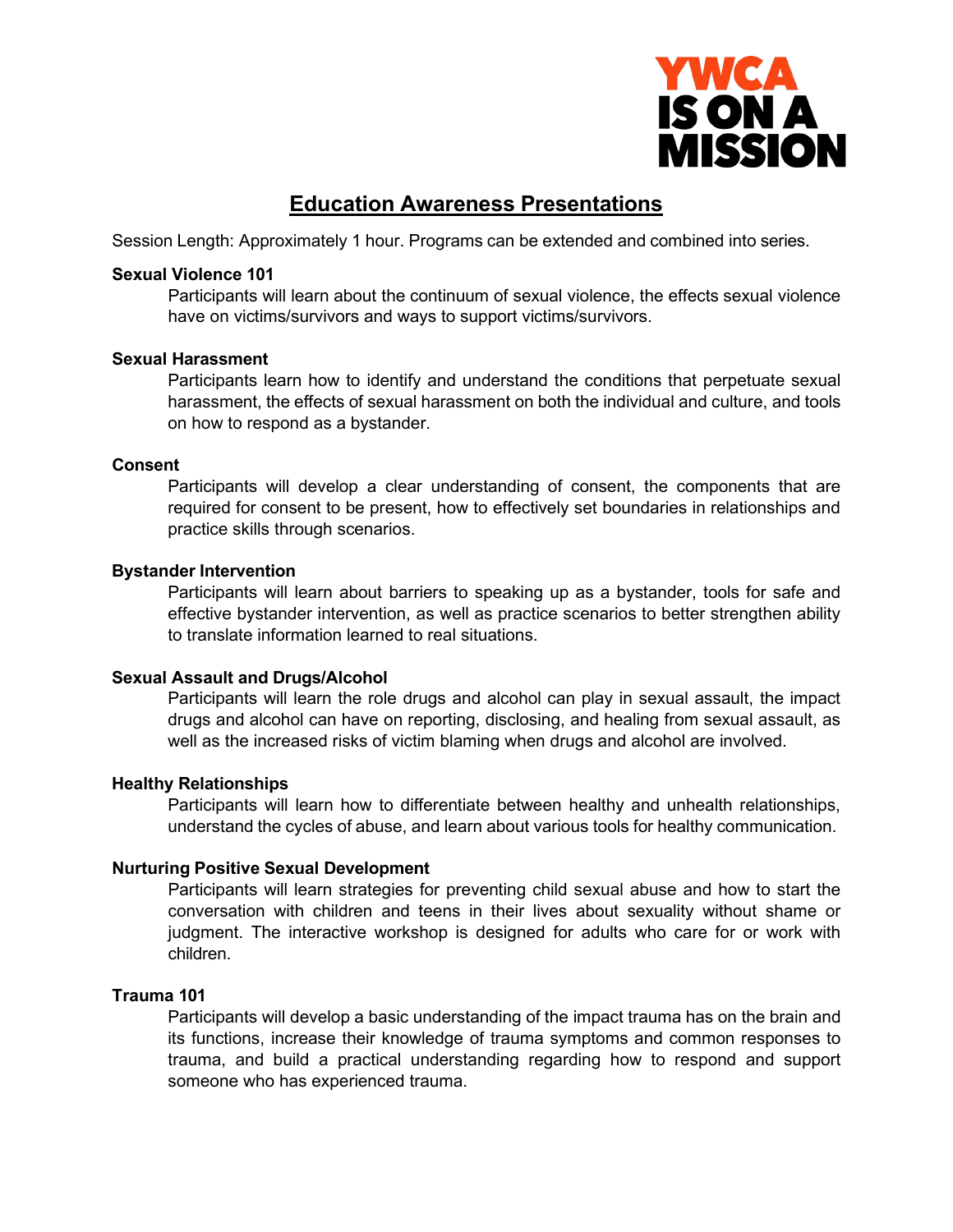

# **Education Awareness Presentations**

Session Length: Approximately 1 hour. Programs can be extended and combined into series.

### **Sexual Violence 101**

Participants will learn about the continuum of sexual violence, the effects sexual violence have on victims/survivors and ways to support victims/survivors.

### **Sexual Harassment**

Participants learn how to identify and understand the conditions that perpetuate sexual harassment, the effects of sexual harassment on both the individual and culture, and tools on how to respond as a bystander.

### **Consent**

Participants will develop a clear understanding of consent, the components that are required for consent to be present, how to effectively set boundaries in relationships and practice skills through scenarios.

### **Bystander Intervention**

Participants will learn about barriers to speaking up as a bystander, tools for safe and effective bystander intervention, as well as practice scenarios to better strengthen ability to translate information learned to real situations.

## **Sexual Assault and Drugs/Alcohol**

Participants will learn the role drugs and alcohol can play in sexual assault, the impact drugs and alcohol can have on reporting, disclosing, and healing from sexual assault, as well as the increased risks of victim blaming when drugs and alcohol are involved.

## **Healthy Relationships**

Participants will learn how to differentiate between healthy and unhealth relationships, understand the cycles of abuse, and learn about various tools for healthy communication.

## **Nurturing Positive Sexual Development**

Participants will learn strategies for preventing child sexual abuse and how to start the conversation with children and teens in their lives about sexuality without shame or judgment. The interactive workshop is designed for adults who care for or work with children.

#### **Trauma 101**

Participants will develop a basic understanding of the impact trauma has on the brain and its functions, increase their knowledge of trauma symptoms and common responses to trauma, and build a practical understanding regarding how to respond and support someone who has experienced trauma.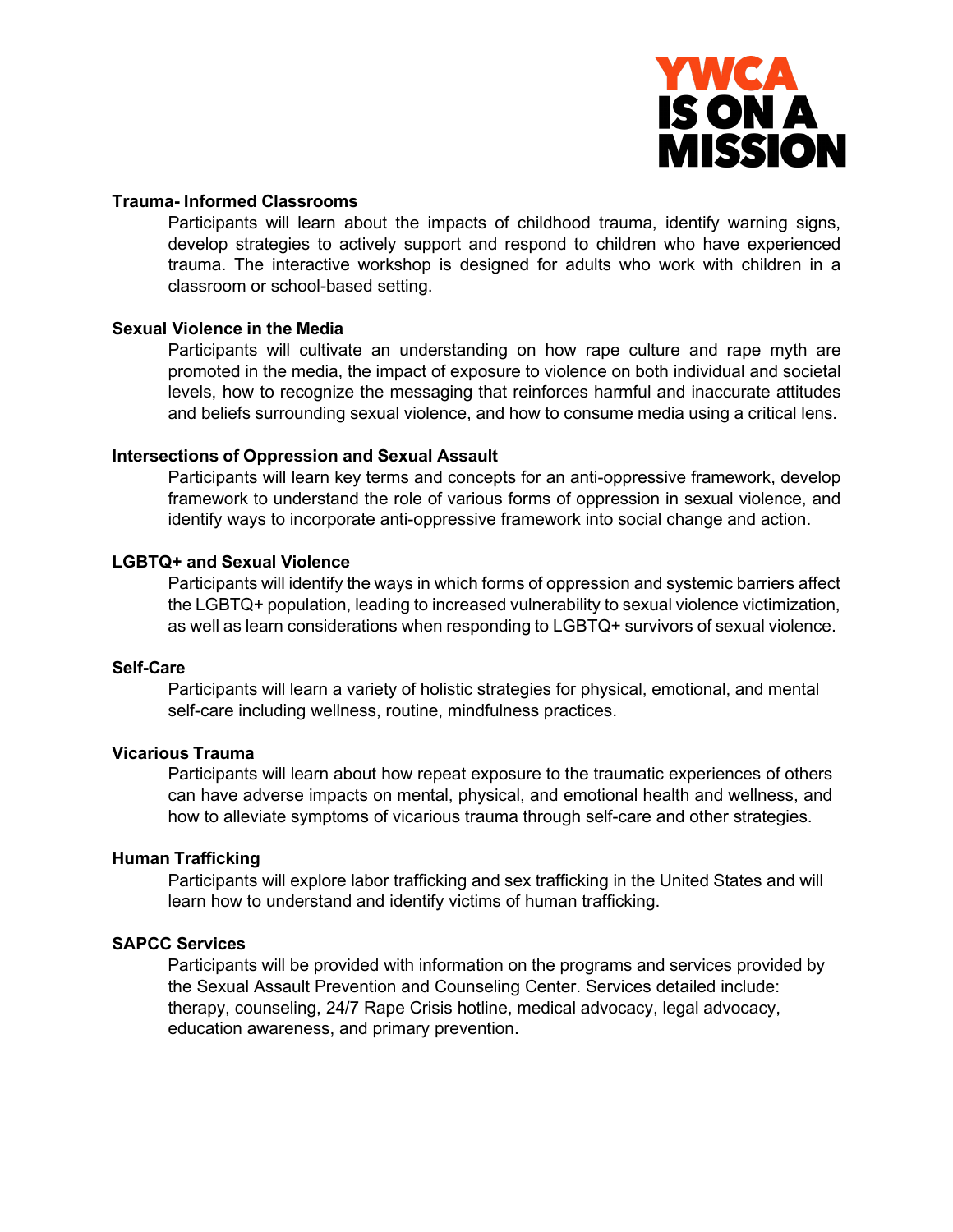

#### **Trauma- Informed Classrooms**

Participants will learn about the impacts of childhood trauma, identify warning signs, develop strategies to actively support and respond to children who have experienced trauma. The interactive workshop is designed for adults who work with children in a classroom or school-based setting.

#### **Sexual Violence in the Media**

Participants will cultivate an understanding on how rape culture and rape myth are promoted in the media, the impact of exposure to violence on both individual and societal levels, how to recognize the messaging that reinforces harmful and inaccurate attitudes and beliefs surrounding sexual violence, and how to consume media using a critical lens.

#### **Intersections of Oppression and Sexual Assault**

Participants will learn key terms and concepts for an anti-oppressive framework, develop framework to understand the role of various forms of oppression in sexual violence, and identify ways to incorporate anti-oppressive framework into social change and action.

## **LGBTQ+ and Sexual Violence**

Participants will identify the ways in which forms of oppression and systemic barriers affect the LGBTQ+ population, leading to increased vulnerability to sexual violence victimization, as well as learn considerations when responding to LGBTQ+ survivors of sexual violence.

## **Self-Care**

Participants will learn a variety of holistic strategies for physical, emotional, and mental self-care including wellness, routine, mindfulness practices.

## **Vicarious Trauma**

Participants will learn about how repeat exposure to the traumatic experiences of others can have adverse impacts on mental, physical, and emotional health and wellness, and how to alleviate symptoms of vicarious trauma through self-care and other strategies.

#### **Human Trafficking**

Participants will explore labor trafficking and sex trafficking in the United States and will learn how to understand and identify victims of human trafficking.

#### **SAPCC Services**

Participants will be provided with information on the programs and services provided by the Sexual Assault Prevention and Counseling Center. Services detailed include: therapy, counseling, 24/7 Rape Crisis hotline, medical advocacy, legal advocacy, education awareness, and primary prevention.